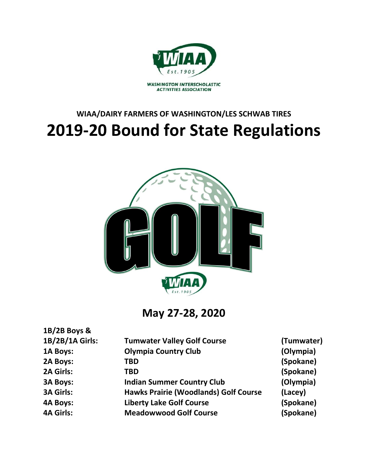

# **WIAA/DAIRY FARMERS OF WASHINGTON/LES SCHWAB TIRES 2019-20 Bound for State Regulations**



**May 27-28, 2020**

**1B/2B Boys &** 

| 1B/2B/1A Girls:  | <b>Tumwater Valley Golf Course</b>           | (Tumwater) |
|------------------|----------------------------------------------|------------|
| 1A Boys:         | <b>Olympia Country Club</b>                  | (Olympia)  |
| 2A Boys:         | TBD                                          | (Spokane)  |
| 2A Girls:        | TBD                                          | (Spokane)  |
| <b>3A Boys:</b>  | <b>Indian Summer Country Club</b>            | (Olympia)  |
| <b>3A Girls:</b> | <b>Hawks Prairie (Woodlands) Golf Course</b> | (Lacey)    |
| <b>4A Boys:</b>  | <b>Liberty Lake Golf Course</b>              | (Spokane)  |
| <b>4A Girls:</b> | <b>Meadowwood Golf Course</b>                | (Spokane)  |
|                  |                                              |            |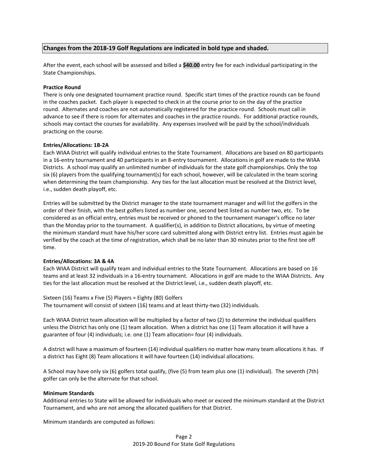# **Changes from the 2018-19 Golf Regulations are indicated in bold type and shaded.**

After the event, each school will be assessed and billed a **\$40.00** entry fee for each individual participating in the State Championships.

#### **Practice Round**

There is only one designated tournament practice round. Specific start times of the practice rounds can be found in the coaches packet. Each player is expected to check in at the course prior to on the day of the practice round. Alternates and coaches are not automatically registered for the practice round. Schools must call in advance to see if there is room for alternates and coaches in the practice rounds. For additional practice rounds, schools may contact the courses for availability. Any expenses involved will be paid by the school/individuals practicing on the course.

#### **Entries/Allocations: 1B-2A**

Each WIAA District will qualify individual entries to the State Tournament. Allocations are based on 80 participants in a 16-entry tournament and 40 participants in an 8-entry tournament. Allocations in golf are made to the WIAA Districts. A school may qualify an unlimited number of individuals for the state golf championships. Only the top six (6) players from the qualifying tournament(s) for each school, however, will be calculated in the team scoring when determining the team championship. Any ties for the last allocation must be resolved at the District level, i.e., sudden death playoff, etc.

Entries will be submitted by the District manager to the state tournament manager and will list the golfers in the order of their finish, with the best golfers listed as number one, second best listed as number two, etc. To be considered as an official entry, entries must be received or phoned to the tournament manager's office no later than the Monday prior to the tournament. A qualifier(s), in addition to District allocations, by virtue of meeting the minimum standard must have his/her score card submitted along with District entry list. Entries must again be verified by the coach at the time of registration, which shall be no later than 30 minutes prior to the first tee off time.

#### **Entries/Allocations: 3A & 4A**

Each WIAA District will qualify team and individual entries to the State Tournament. Allocations are based on 16 teams and at least 32 individuals in a 16-entry tournament. Allocations in golf are made to the WIAA Districts. Any ties for the last allocation must be resolved at the District level, i.e., sudden death playoff, etc.

Sixteen (16) Teams x Five (5) Players = Eighty (80) Golfers The tournament will consist of sixteen (16) teams and at least thirty-two (32) individuals.

Each WIAA District team allocation will be multiplied by a factor of two (2) to determine the individual qualifiers unless the District has only one (1) team allocation. When a district has one (1) Team allocation it will have a guarantee of four (4) individuals; i.e. one (1) Team allocation= four (4) individuals.

A district will have a maximum of fourteen (14) individual qualifiers no matter how many team allocations it has. If a district has Eight (8) Team allocations it will have fourteen (14) individual allocations.

A School may have only six (6) golfers total qualify, (five (5) from team plus one (1) individual). The seventh (7th) golfer can only be the alternate for that school.

#### **Minimum Standards**

Additional entries to State will be allowed for individuals who meet or exceed the minimum standard at the District Tournament, and who are not among the allocated qualifiers for that District.

Minimum standards are computed as follows: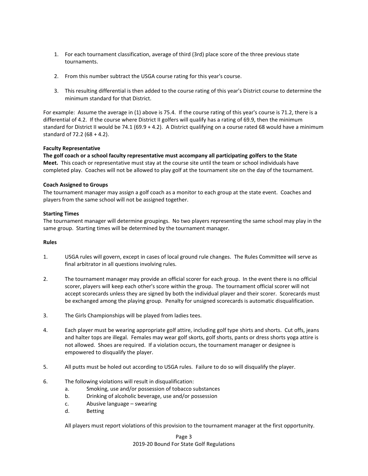- 1. For each tournament classification, average of third (3rd) place score of the three previous state tournaments.
- 2. From this number subtract the USGA course rating for this year's course.
- 3. This resulting differential is then added to the course rating of this year's District course to determine the minimum standard for that District.

For example: Assume the average in (1) above is 75.4. If the course rating of this year's course is 71.2, there is a differential of 4.2. If the course where District II golfers will qualify has a rating of 69.9, then the minimum standard for District II would be 74.1 (69.9 + 4.2). A District qualifying on a course rated 68 would have a minimum standard of 72.2 (68 + 4.2).

## **Faculty Representative**

**The golf coach or a school faculty representative must accompany all participating golfers to the State Meet.** This coach or representative must stay at the course site until the team or school individuals have completed play. Coaches will not be allowed to play golf at the tournament site on the day of the tournament.

## **Coach Assigned to Groups**

The tournament manager may assign a golf coach as a monitor to each group at the state event. Coaches and players from the same school will not be assigned together.

## **Starting Times**

The tournament manager will determine groupings. No two players representing the same school may play in the same group. Starting times will be determined by the tournament manager.

## **Rules**

- 1. USGA rules will govern, except in cases of local ground rule changes. The Rules Committee will serve as final arbitrator in all questions involving rules.
- 2. The tournament manager may provide an official scorer for each group. In the event there is no official scorer, players will keep each other's score within the group. The tournament official scorer will not accept scorecards unless they are signed by both the individual player and their scorer. Scorecards must be exchanged among the playing group. Penalty for unsigned scorecards is automatic disqualification.
- 3. The Girls Championships will be played from ladies tees.
- 4. Each player must be wearing appropriate golf attire, including golf type shirts and shorts. Cut offs, jeans and halter tops are illegal. Females may wear golf skorts, golf shorts, pants or dress shorts yoga attire is not allowed. Shoes are required. If a violation occurs, the tournament manager or designee is empowered to disqualify the player.
- 5. All putts must be holed out according to USGA rules. Failure to do so will disqualify the player.
- 6. The following violations will result in disqualification:
	- a. Smoking, use and/or possession of tobacco substances
	- b. Drinking of alcoholic beverage, use and/or possession
	- c. Abusive language swearing
	- d. Betting

All players must report violations of this provision to the tournament manager at the first opportunity.

Page 3 2019-20 Bound For State Golf Regulations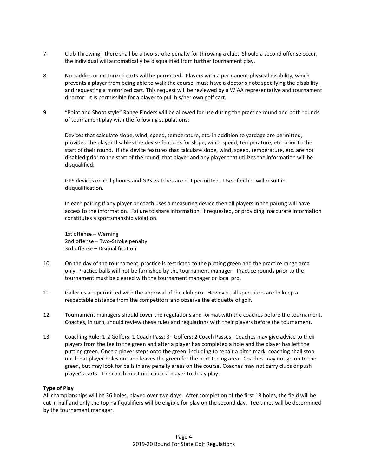- 7. Club Throwing there shall be a two-stroke penalty for throwing a club. Should a second offense occur, the individual will automatically be disqualified from further tournament play.
- 8. No caddies or motorized carts will be permitted**.** Players with a permanent physical disability, which prevents a player from being able to walk the course, must have a doctor's note specifying the disability and requesting a motorized cart. This request will be reviewed by a WIAA representative and tournament director. It is permissible for a player to pull his/her own golf cart.
- 9. "Point and Shoot style" Range Finders will be allowed for use during the practice round and both rounds of tournament play with the following stipulations:

Devices that calculate slope, wind, speed, temperature, etc. in addition to yardage are permitted, provided the player disables the devise features for slope, wind, speed, temperature, etc. prior to the start of their round. If the device features that calculate slope, wind, speed, temperature, etc. are not disabled prior to the start of the round, that player and any player that utilizes the information will be disqualified.

GPS devices on cell phones and GPS watches are not permitted. Use of either will result in disqualification.

In each pairing if any player or coach uses a measuring device then all players in the pairing will have access to the information. Failure to share information, if requested, or providing inaccurate information constitutes a sportsmanship violation.

1st offense – Warning 2nd offense – Two-Stroke penalty 3rd offense – Disqualification

- 10. On the day of the tournament, practice is restricted to the putting green and the practice range area only. Practice balls will not be furnished by the tournament manager. Practice rounds prior to the tournament must be cleared with the tournament manager or local pro.
- 11. Galleries are permitted with the approval of the club pro. However, all spectators are to keep a respectable distance from the competitors and observe the etiquette of golf.
- 12. Tournament managers should cover the regulations and format with the coaches before the tournament. Coaches, in turn, should review these rules and regulations with their players before the tournament.
- 13. Coaching Rule: 1-2 Golfers: 1 Coach Pass; 3+ Golfers: 2 Coach Passes. Coaches may give advice to their players from the tee to the green and after a player has completed a hole and the player has left the putting green. Once a player steps onto the green, including to repair a pitch mark, coaching shall stop until that player holes out and leaves the green for the next teeing area. Coaches may not go on to the green, but may look for balls in any penalty areas on the course. Coaches may not carry clubs or push player's carts. The coach must not cause a player to delay play.

# **Type of Play**

All championships will be 36 holes, played over two days. After completion of the first 18 holes, the field will be cut in half and only the top half qualifiers will be eligible for play on the second day. Tee times will be determined by the tournament manager.